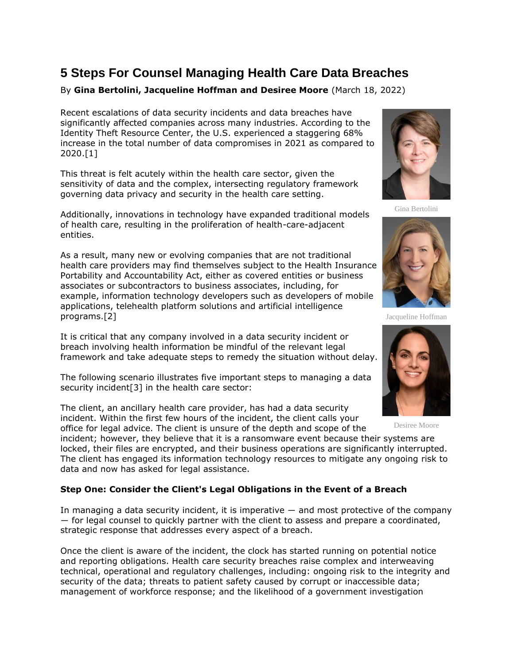# **5 Steps For Counsel Managing Health Care Data Breaches**

## By **Gina Bertolini, Jacqueline Hoffman and Desiree Moore** (March 18, 2022)

Recent escalations of data security incidents and data breaches have significantly affected companies across many industries. According to the Identity Theft Resource Center, the U.S. experienced a staggering 68% increase in the total number of data compromises in 2021 as compared to 2020.[1]

This threat is felt acutely within the health care sector, given the sensitivity of data and the complex, intersecting regulatory framework governing data privacy and security in the health care setting.

Additionally, innovations in technology have expanded traditional models of health care, resulting in the proliferation of health-care-adjacent entities.

As a result, many new or evolving companies that are not traditional health care providers may find themselves subject to the Health Insurance Portability and Accountability Act, either as covered entities or business associates or subcontractors to business associates, including, for example, information technology developers such as developers of mobile applications, telehealth platform solutions and artificial intelligence programs.[2]

It is critical that any company involved in a data security incident or breach involving health information be mindful of the relevant legal framework and take adequate steps to remedy the situation without delay.

The following scenario illustrates five important steps to managing a data security incident[3] in the health care sector:

The client, an ancillary health care provider, has had a data security incident. Within the first few hours of the incident, the client calls your office for legal advice. The client is unsure of the depth and scope of the

incident; however, they believe that it is a ransomware event because their systems are locked, their files are encrypted, and their business operations are significantly interrupted. The client has engaged its information technology resources to mitigate any ongoing risk to data and now has asked for legal assistance.

## **Step One: Consider the Client's Legal Obligations in the Event of a Breach**

In managing a data security incident, it is imperative  $-$  and most protective of the company ― for legal counsel to quickly partner with the client to assess and prepare a coordinated, strategic response that addresses every aspect of a breach.

Once the client is aware of the incident, the clock has started running on potential notice and reporting obligations. Health care security breaches raise complex and interweaving technical, operational and regulatory challenges, including: ongoing risk to the integrity and security of the data; threats to patient safety caused by corrupt or inaccessible data; management of workforce response; and the likelihood of a government investigation



Gina Bertolini



Jacqueline Hoffman



Desiree Moore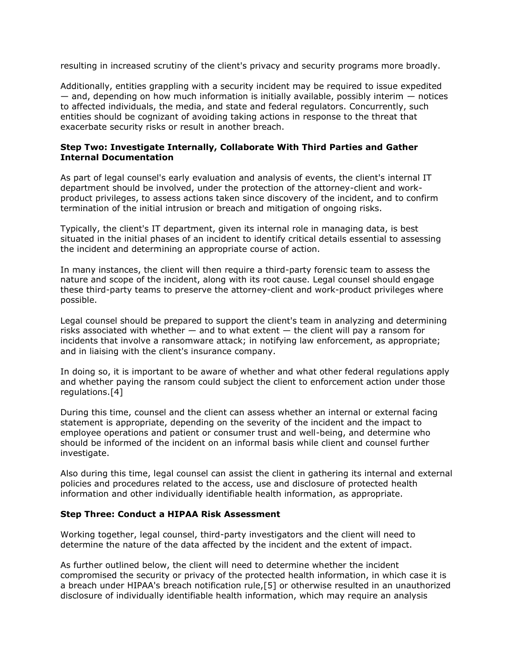resulting in increased scrutiny of the client's privacy and security programs more broadly.

Additionally, entities grappling with a security incident may be required to issue expedited  $-$  and, depending on how much information is initially available, possibly interim  $-$  notices to affected individuals, the media, and state and federal regulators. Concurrently, such entities should be cognizant of avoiding taking actions in response to the threat that exacerbate security risks or result in another breach.

#### **Step Two: Investigate Internally, Collaborate With Third Parties and Gather Internal Documentation**

As part of legal counsel's early evaluation and analysis of events, the client's internal IT department should be involved, under the protection of the attorney-client and workproduct privileges, to assess actions taken since discovery of the incident, and to confirm termination of the initial intrusion or breach and mitigation of ongoing risks.

Typically, the client's IT department, given its internal role in managing data, is best situated in the initial phases of an incident to identify critical details essential to assessing the incident and determining an appropriate course of action.

In many instances, the client will then require a third-party forensic team to assess the nature and scope of the incident, along with its root cause. Legal counsel should engage these third-party teams to preserve the attorney-client and work-product privileges where possible.

Legal counsel should be prepared to support the client's team in analyzing and determining risks associated with whether  $-$  and to what extent  $-$  the client will pay a ransom for incidents that involve a ransomware attack; in notifying law enforcement, as appropriate; and in liaising with the client's insurance company.

In doing so, it is important to be aware of whether and what other federal regulations apply and whether paying the ransom could subject the client to enforcement action under those regulations.[4]

During this time, counsel and the client can assess whether an internal or external facing statement is appropriate, depending on the severity of the incident and the impact to employee operations and patient or consumer trust and well-being, and determine who should be informed of the incident on an informal basis while client and counsel further investigate.

Also during this time, legal counsel can assist the client in gathering its internal and external policies and procedures related to the access, use and disclosure of protected health information and other individually identifiable health information, as appropriate.

#### **Step Three: Conduct a HIPAA Risk Assessment**

Working together, legal counsel, third-party investigators and the client will need to determine the nature of the data affected by the incident and the extent of impact.

As further outlined below, the client will need to determine whether the incident compromised the security or privacy of the protected health information, in which case it is a breach under HIPAA's breach notification rule,[5] or otherwise resulted in an unauthorized disclosure of individually identifiable health information, which may require an analysis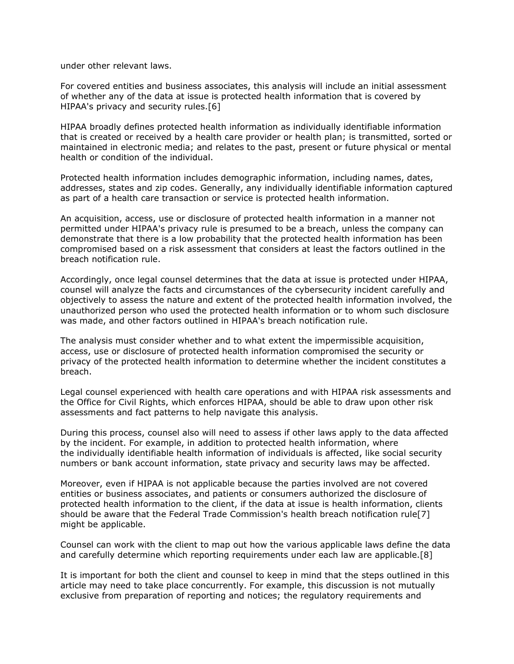under other relevant laws.

For covered entities and business associates, this analysis will include an initial assessment of whether any of the data at issue is protected health information that is covered by HIPAA's privacy and security rules.[6]

HIPAA broadly defines protected health information as individually identifiable information that is created or received by a health care provider or health plan; is transmitted, sorted or maintained in electronic media; and relates to the past, present or future physical or mental health or condition of the individual.

Protected health information includes demographic information, including names, dates, addresses, states and zip codes. Generally, any individually identifiable information captured as part of a health care transaction or service is protected health information.

An acquisition, access, use or disclosure of protected health information in a manner not permitted under HIPAA's privacy rule is presumed to be a breach, unless the company can demonstrate that there is a low probability that the protected health information has been compromised based on a risk assessment that considers at least the factors outlined in the breach notification rule.

Accordingly, once legal counsel determines that the data at issue is protected under HIPAA, counsel will analyze the facts and circumstances of the cybersecurity incident carefully and objectively to assess the nature and extent of the protected health information involved, the unauthorized person who used the protected health information or to whom such disclosure was made, and other factors outlined in HIPAA's breach notification rule.

The analysis must consider whether and to what extent the impermissible acquisition, access, use or disclosure of protected health information compromised the security or privacy of the protected health information to determine whether the incident constitutes a breach.

Legal counsel experienced with health care operations and with HIPAA risk assessments and the Office for Civil Rights, which enforces HIPAA, should be able to draw upon other risk assessments and fact patterns to help navigate this analysis.

During this process, counsel also will need to assess if other laws apply to the data affected by the incident. For example, in addition to protected health information, where the individually identifiable health information of individuals is affected, like social security numbers or bank account information, state privacy and security laws may be affected.

Moreover, even if HIPAA is not applicable because the parties involved are not covered entities or business associates, and patients or consumers authorized the disclosure of protected health information to the client, if the data at issue is health information, clients should be aware that the [Federal Trade Commission'](https://www.law360.com/agencies/federal-trade-commission)s health breach notification rule[7] might be applicable.

Counsel can work with the client to map out how the various applicable laws define the data and carefully determine which reporting requirements under each law are applicable.[8]

It is important for both the client and counsel to keep in mind that the steps outlined in this article may need to take place concurrently. For example, this discussion is not mutually exclusive from preparation of reporting and notices; the regulatory requirements and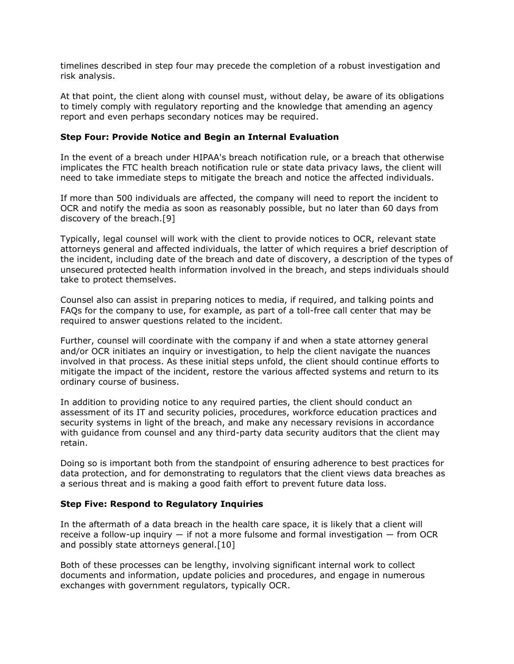timelines described in step four may precede the completion of a robust investigation and risk analysis.

At that point, the client along with counsel must, without delay, be aware of its obligations to timely comply with regulatory reporting and the knowledge that amending an agency report and even perhaps secondary notices may be required.

#### **Step Four: Provide Notice and Begin an Internal Evaluation**

In the event of a breach under HIPAA's breach notification rule, or a breach that otherwise implicates the FTC health breach notification rule or state data privacy laws, the client will need to take immediate steps to mitigate the breach and notice the affected individuals.

If more than 500 individuals are affected, the company will need to report the incident to OCR and notify the media as soon as reasonably possible, but no later than 60 days from discovery of the breach.[9]

Typically, legal counsel will work with the client to provide notices to OCR, relevant state attorneys general and affected individuals, the latter of which requires a brief description of the incident, including date of the breach and date of discovery, a description of the types of unsecured protected health information involved in the breach, and steps individuals should take to protect themselves.

Counsel also can assist in preparing notices to media, if required, and talking points and FAQs for the company to use, for example, as part of a toll-free call center that may be required to answer questions related to the incident.

Further, counsel will coordinate with the company if and when a state attorney general and/or OCR initiates an inquiry or investigation, to help the client navigate the nuances involved in that process. As these initial steps unfold, the client should continue efforts to mitigate the impact of the incident, restore the various affected systems and return to its ordinary course of business.

In addition to providing notice to any required parties, the client should conduct an assessment of its IT and security policies, procedures, workforce education practices and security systems in light of the breach, and make any necessary revisions in accordance with guidance from counsel and any third-party data security auditors that the client may retain.

Doing so is important both from the standpoint of ensuring adherence to best practices for data protection, and for demonstrating to regulators that the client views data breaches as a serious threat and is making a good faith effort to prevent future data loss.

#### **Step Five: Respond to Regulatory Inquiries**

In the aftermath of a data breach in the health care space, it is likely that a client will receive a follow-up inquiry  $-$  if not a more fulsome and formal investigation  $-$  from OCR and possibly state attorneys general.[10]

Both of these processes can be lengthy, involving significant internal work to collect documents and information, update policies and procedures, and engage in numerous exchanges with government regulators, typically OCR.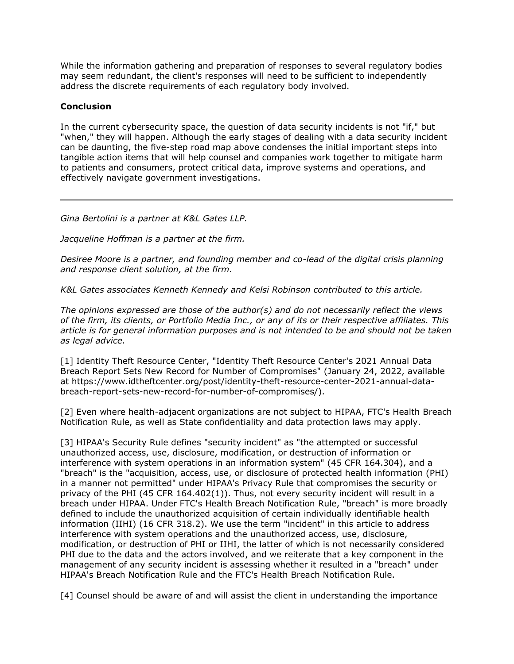While the information gathering and preparation of responses to several regulatory bodies may seem redundant, the client's responses will need to be sufficient to independently address the discrete requirements of each regulatory body involved.

### **Conclusion**

In the current cybersecurity space, the question of data security incidents is not "if," but "when," they will happen. Although the early stages of dealing with a data security incident can be daunting, the five-step road map above condenses the initial important steps into tangible action items that will help counsel and companies work together to mitigate harm to patients and consumers, protect critical data, improve systems and operations, and effectively navigate government investigations.

*[Gina Bertolini](https://www.klgates.com/Gina-L-Bertolini) is a partner at [K&L Gates LLP.](https://www.law360.com/firms/k-l-gates)*

*[Jacqueline](https://www.klgates.com/Jacqueline-B-Hoffman) Hoffman is a partner at the firm.*

*[Desiree Moore](https://www.klgates.com/Desiree-F-Moore) is a partner, and founding member and co-lead of the digital crisis planning and response client solution, at the firm.*

*K&L Gates associates Kenneth Kennedy and Kelsi Robinson contributed to this article.*

*The opinions expressed are those of the author(s) and do not necessarily reflect the views of the firm, its clients, or Portfolio Media Inc., or any of its or their respective affiliates. This article is for general information purposes and is not intended to be and should not be taken as legal advice.*

[1] Identity Theft Resource Center, "Identity Theft Resource Center's 2021 Annual Data Breach Report Sets New Record for Number of Compromises" (January 24, 2022, available at [https://www.idtheftcenter.org/post/identity-theft-resource-center-2021-annual-data](https://www.idtheftcenter.org/post/identity-theft-resource-center-2021-annual-data-breach-report-sets-new-record-for-number-of-compromises/)[breach-report-sets-new-record-for-number-of-compromises/\)](https://www.idtheftcenter.org/post/identity-theft-resource-center-2021-annual-data-breach-report-sets-new-record-for-number-of-compromises/).

[2] Even where health-adjacent organizations are not subject to HIPAA, FTC's Health Breach Notification Rule, as well as State confidentiality and data protection laws may apply.

[3] HIPAA's Security Rule defines "security incident" as "the attempted or successful unauthorized access, use, disclosure, modification, or destruction of information or interference with system operations in an information system" (45 CFR 164.304), and a "breach" is the "acquisition, access, use, or disclosure of protected health information (PHI) in a manner not permitted" under HIPAA's Privacy Rule that compromises the security or privacy of the PHI (45 CFR 164.402(1)). Thus, not every security incident will result in a breach under HIPAA. Under FTC's Health Breach Notification Rule, "breach" is more broadly defined to include the unauthorized acquisition of certain individually identifiable health information (IIHI) (16 CFR 318.2). We use the term "incident" in this article to address interference with system operations and the unauthorized access, use, disclosure, modification, or destruction of PHI or IIHI, the latter of which is not necessarily considered PHI due to the data and the actors involved, and we reiterate that a key component in the management of any security incident is assessing whether it resulted in a "breach" under HIPAA's Breach Notification Rule and the FTC's Health Breach Notification Rule.

[4] Counsel should be aware of and will assist the client in understanding the importance